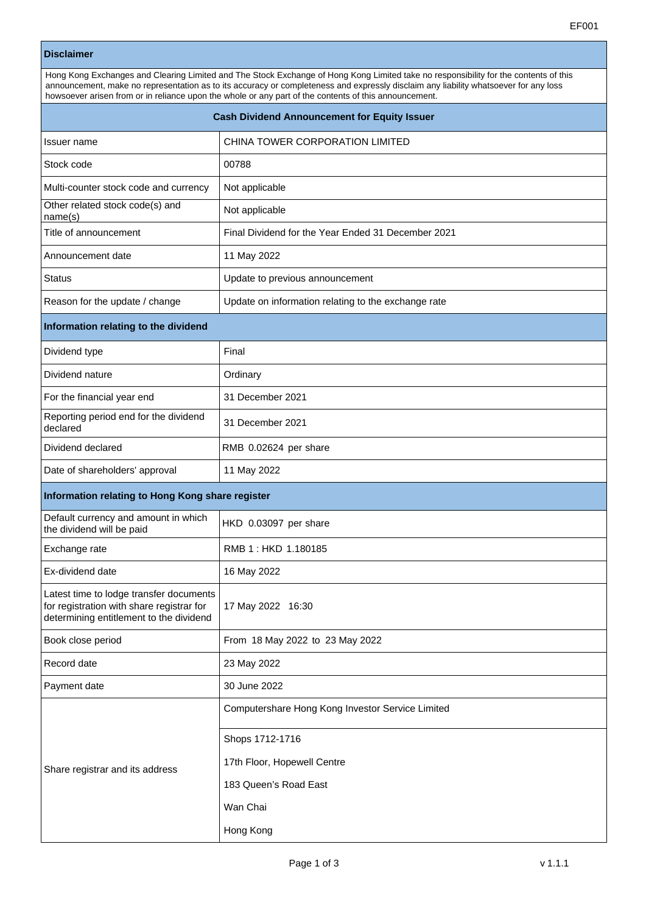## **Disclaimer**

| Hong Kong Exchanges and Clearing Limited and The Stock Exchange of Hong Kong Limited take no responsibility for the contents of this<br>announcement, make no representation as to its accuracy or completeness and expressly disclaim any liability whatsoever for any loss<br>howsoever arisen from or in reliance upon the whole or any part of the contents of this announcement. |                                                                     |  |  |  |
|---------------------------------------------------------------------------------------------------------------------------------------------------------------------------------------------------------------------------------------------------------------------------------------------------------------------------------------------------------------------------------------|---------------------------------------------------------------------|--|--|--|
| <b>Cash Dividend Announcement for Equity Issuer</b>                                                                                                                                                                                                                                                                                                                                   |                                                                     |  |  |  |
| Issuer name                                                                                                                                                                                                                                                                                                                                                                           | CHINA TOWER CORPORATION LIMITED                                     |  |  |  |
| Stock code                                                                                                                                                                                                                                                                                                                                                                            | 00788                                                               |  |  |  |
| Multi-counter stock code and currency                                                                                                                                                                                                                                                                                                                                                 | Not applicable                                                      |  |  |  |
| Other related stock code(s) and<br>name(s)                                                                                                                                                                                                                                                                                                                                            | Not applicable                                                      |  |  |  |
| Title of announcement                                                                                                                                                                                                                                                                                                                                                                 | Final Dividend for the Year Ended 31 December 2021                  |  |  |  |
| Announcement date                                                                                                                                                                                                                                                                                                                                                                     | 11 May 2022                                                         |  |  |  |
| <b>Status</b>                                                                                                                                                                                                                                                                                                                                                                         | Update to previous announcement                                     |  |  |  |
| Reason for the update / change                                                                                                                                                                                                                                                                                                                                                        | Update on information relating to the exchange rate                 |  |  |  |
| Information relating to the dividend                                                                                                                                                                                                                                                                                                                                                  |                                                                     |  |  |  |
| Dividend type                                                                                                                                                                                                                                                                                                                                                                         | Final                                                               |  |  |  |
| Dividend nature                                                                                                                                                                                                                                                                                                                                                                       | Ordinary                                                            |  |  |  |
| For the financial year end                                                                                                                                                                                                                                                                                                                                                            | 31 December 2021                                                    |  |  |  |
| Reporting period end for the dividend<br>declared                                                                                                                                                                                                                                                                                                                                     | 31 December 2021                                                    |  |  |  |
| Dividend declared                                                                                                                                                                                                                                                                                                                                                                     | RMB 0.02624 per share                                               |  |  |  |
| Date of shareholders' approval                                                                                                                                                                                                                                                                                                                                                        | 11 May 2022                                                         |  |  |  |
| Information relating to Hong Kong share register                                                                                                                                                                                                                                                                                                                                      |                                                                     |  |  |  |
| Default currency and amount in which<br>the dividend will be paid                                                                                                                                                                                                                                                                                                                     | HKD 0.03097 per share                                               |  |  |  |
| Exchange rate                                                                                                                                                                                                                                                                                                                                                                         | RMB 1: HKD 1.180185                                                 |  |  |  |
| Ex-dividend date                                                                                                                                                                                                                                                                                                                                                                      | 16 May 2022                                                         |  |  |  |
| Latest time to lodge transfer documents<br>for registration with share registrar for<br>determining entitlement to the dividend                                                                                                                                                                                                                                                       | 17 May 2022 16:30                                                   |  |  |  |
| Book close period                                                                                                                                                                                                                                                                                                                                                                     | From 18 May 2022 to 23 May 2022                                     |  |  |  |
| Record date                                                                                                                                                                                                                                                                                                                                                                           | 23 May 2022                                                         |  |  |  |
| Payment date                                                                                                                                                                                                                                                                                                                                                                          | 30 June 2022                                                        |  |  |  |
| Share registrar and its address                                                                                                                                                                                                                                                                                                                                                       | Computershare Hong Kong Investor Service Limited<br>Shops 1712-1716 |  |  |  |
|                                                                                                                                                                                                                                                                                                                                                                                       | 17th Floor, Hopewell Centre                                         |  |  |  |
|                                                                                                                                                                                                                                                                                                                                                                                       | 183 Queen's Road East                                               |  |  |  |
|                                                                                                                                                                                                                                                                                                                                                                                       | Wan Chai                                                            |  |  |  |
|                                                                                                                                                                                                                                                                                                                                                                                       | Hong Kong                                                           |  |  |  |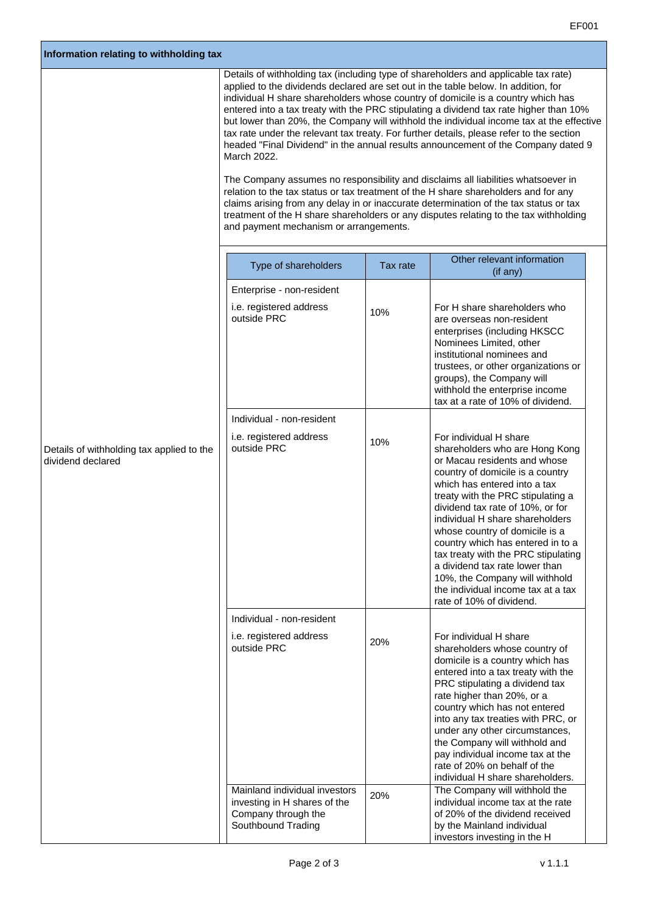| Information relating to withholding tax                        |                                                                                                                                                                                                                                                                                                                                                                                                                                                                                                                                                                                                                                                                                                                                                                                                                                                                                                                                                                                                                                                             |          |                                                                                                                                                                                                                                                                                                                                                                                                                                                                                                                              |  |
|----------------------------------------------------------------|-------------------------------------------------------------------------------------------------------------------------------------------------------------------------------------------------------------------------------------------------------------------------------------------------------------------------------------------------------------------------------------------------------------------------------------------------------------------------------------------------------------------------------------------------------------------------------------------------------------------------------------------------------------------------------------------------------------------------------------------------------------------------------------------------------------------------------------------------------------------------------------------------------------------------------------------------------------------------------------------------------------------------------------------------------------|----------|------------------------------------------------------------------------------------------------------------------------------------------------------------------------------------------------------------------------------------------------------------------------------------------------------------------------------------------------------------------------------------------------------------------------------------------------------------------------------------------------------------------------------|--|
| Details of withholding tax applied to the<br>dividend declared | Details of withholding tax (including type of shareholders and applicable tax rate)<br>applied to the dividends declared are set out in the table below. In addition, for<br>individual H share shareholders whose country of domicile is a country which has<br>entered into a tax treaty with the PRC stipulating a dividend tax rate higher than 10%<br>but lower than 20%, the Company will withhold the individual income tax at the effective<br>tax rate under the relevant tax treaty. For further details, please refer to the section<br>headed "Final Dividend" in the annual results announcement of the Company dated 9<br>March 2022.<br>The Company assumes no responsibility and disclaims all liabilities whatsoever in<br>relation to the tax status or tax treatment of the H share shareholders and for any<br>claims arising from any delay in or inaccurate determination of the tax status or tax<br>treatment of the H share shareholders or any disputes relating to the tax withholding<br>and payment mechanism or arrangements. |          |                                                                                                                                                                                                                                                                                                                                                                                                                                                                                                                              |  |
|                                                                | Type of shareholders                                                                                                                                                                                                                                                                                                                                                                                                                                                                                                                                                                                                                                                                                                                                                                                                                                                                                                                                                                                                                                        | Tax rate | Other relevant information<br>(if any)                                                                                                                                                                                                                                                                                                                                                                                                                                                                                       |  |
|                                                                | Enterprise - non-resident<br>i.e. registered address<br>outside PRC                                                                                                                                                                                                                                                                                                                                                                                                                                                                                                                                                                                                                                                                                                                                                                                                                                                                                                                                                                                         | 10%      | For H share shareholders who<br>are overseas non-resident<br>enterprises (including HKSCC<br>Nominees Limited, other<br>institutional nominees and<br>trustees, or other organizations or<br>groups), the Company will<br>withhold the enterprise income<br>tax at a rate of 10% of dividend.                                                                                                                                                                                                                                |  |
|                                                                | Individual - non-resident<br>i.e. registered address<br>outside PRC                                                                                                                                                                                                                                                                                                                                                                                                                                                                                                                                                                                                                                                                                                                                                                                                                                                                                                                                                                                         | 10%      | For individual H share<br>shareholders who are Hong Kong<br>or Macau residents and whose<br>country of domicile is a country<br>which has entered into a tax<br>treaty with the PRC stipulating a<br>dividend tax rate of 10%, or for<br>individual H share shareholders<br>whose country of domicile is a<br>country which has entered in to a<br>tax treaty with the PRC stipulating<br>a dividend tax rate lower than<br>10%, the Company will withhold<br>the individual income tax at a tax<br>rate of 10% of dividend. |  |
|                                                                | Individual - non-resident<br>i.e. registered address<br>outside PRC                                                                                                                                                                                                                                                                                                                                                                                                                                                                                                                                                                                                                                                                                                                                                                                                                                                                                                                                                                                         | 20%      | For individual H share<br>shareholders whose country of<br>domicile is a country which has<br>entered into a tax treaty with the<br>PRC stipulating a dividend tax<br>rate higher than 20%, or a<br>country which has not entered<br>into any tax treaties with PRC, or<br>under any other circumstances,<br>the Company will withhold and<br>pay individual income tax at the<br>rate of 20% on behalf of the<br>individual H share shareholders.                                                                           |  |
|                                                                | Mainland individual investors<br>investing in H shares of the<br>Company through the<br>Southbound Trading                                                                                                                                                                                                                                                                                                                                                                                                                                                                                                                                                                                                                                                                                                                                                                                                                                                                                                                                                  | 20%      | The Company will withhold the<br>individual income tax at the rate<br>of 20% of the dividend received<br>by the Mainland individual<br>investors investing in the H                                                                                                                                                                                                                                                                                                                                                          |  |

EF001